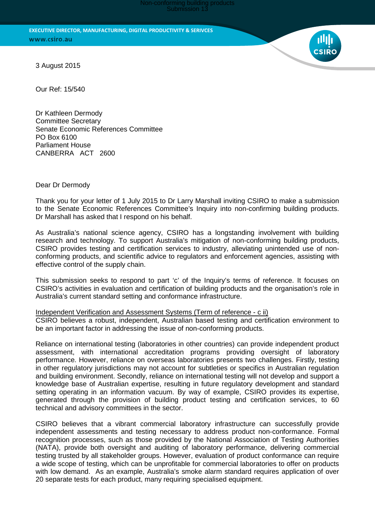Submission 13

**EXECUTIVE DIRECTOR, MANUFACTURING, DIGITAL PRODUCTIVITY & SERIVCES** www.csiro.au

3 August 2015

Our Ref: 15/540

Dr Kathleen Dermody Committee Secretary Senate Economic References Committee PO Box 6100 Parliament House CANBERRA ACT 2600

Dear Dr Dermody

Thank you for your letter of 1 July 2015 to Dr Larry Marshall inviting CSIRO to make a submission to the Senate Economic References Committee's Inquiry into non-confirming building products. Dr Marshall has asked that I respond on his behalf.

As Australia's national science agency, CSIRO has a longstanding involvement with building research and technology. To support Australia's mitigation of non-conforming building products, CSIRO provides testing and certification services to industry, alleviating unintended use of nonconforming products, and scientific advice to regulators and enforcement agencies, assisting with effective control of the supply chain.

This submission seeks to respond to part 'c' of the Inquiry's terms of reference. It focuses on CSIRO's activities in evaluation and certification of building products and the organisation's role in Australia's current standard setting and conformance infrastructure.

Independent Verification and Assessment Systems (Term of reference - c ii)

CSIRO believes a robust, independent, Australian based testing and certification environment to be an important factor in addressing the issue of non-conforming products.

Reliance on international testing (laboratories in other countries) can provide independent product assessment, with international accreditation programs providing oversight of laboratory performance. However, reliance on overseas laboratories presents two challenges. Firstly, testing in other regulatory jurisdictions may not account for subtleties or specifics in Australian regulation and building environment. Secondly, reliance on international testing will not develop and support a knowledge base of Australian expertise, resulting in future regulatory development and standard setting operating in an information vacuum. By way of example, CSIRO provides its expertise, generated through the provision of building product testing and certification services, to 60 technical and advisory committees in the sector.

CSIRO believes that a vibrant commercial laboratory infrastructure can successfully provide independent assessments and testing necessary to address product non-conformance. Formal recognition processes, such as those provided by the National Association of Testing Authorities (NATA), provide both oversight and auditing of laboratory performance, delivering commercial testing trusted by all stakeholder groups. However, evaluation of product conformance can require a wide scope of testing, which can be unprofitable for commercial laboratories to offer on products with low demand. As an example, Australia's smoke alarm standard requires application of over 20 separate tests for each product, many requiring specialised equipment.